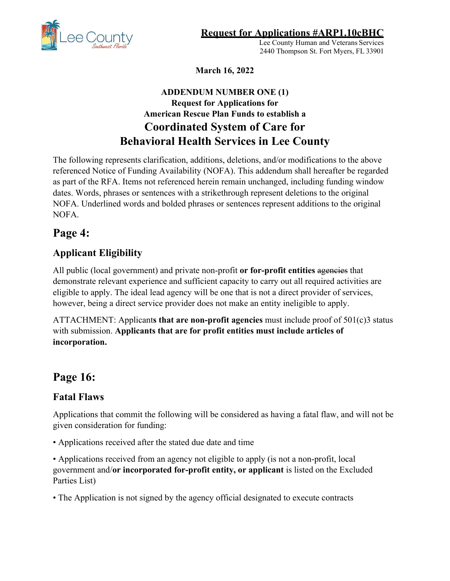**Request for Applications #ARP1.10cBHC** 

Lee County Human and Veterans Services 2440 Thompson St. Fort Myers, FL 33901

**March 16, 2022** 

## **ADDENDUM NUMBER ONE (1) Request for Applications for American Rescue Plan Funds to establish a Coordinated System of Care for Behavioral Health Services in Lee County**

The following represents clarification, additions, deletions, and/or modifications to the above referenced Notice of Funding Availability (NOFA). This addendum shall hereafter be regarded as part of the RFA. Items not referenced herein remain unchanged, including funding window dates. Words, phrases or sentences with a strikethrough represent deletions to the original NOFA. Underlined words and bolded phrases or sentences represent additions to the original NOFA.

## **Page 4:**

## **Applicant Eligibility**

All public (local government) and private non-profit or for-profit entities ageneies that demonstrate relevant experience and sufficient capacity to carry out all required activities are eligible to apply. The ideal lead agency will be one that is not a direct provider of services, however, being a direct service provider does not make an entity ineligible to apply.

ATTACHMENT: Applicant**s that are non-profit agencies** must include proof of 501(c)3 status with submission. **Applicants that are for profit entities must include articles of incorporation.**

# **Page 16:**

## **Fatal Flaws**

Applications that commit the following will be considered as having a fatal flaw, and will not be given consideration for funding:

• Applications received after the stated due date and time

• Applications received from an agency not eligible to apply (is not a non-profit, local government and/**or incorporated for-profit entity, or applicant** is listed on the Excluded Parties List)

• The Application is not signed by the agency official designated to execute contracts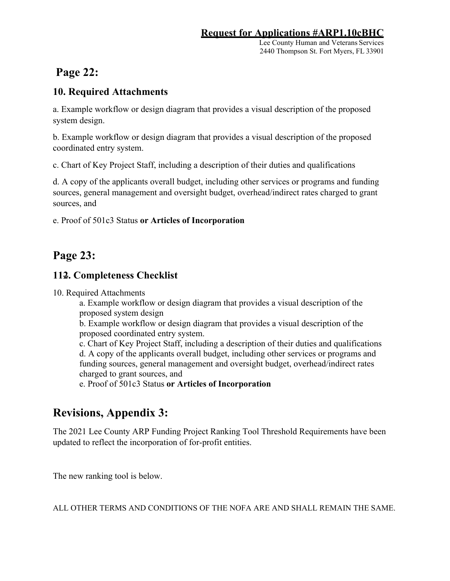Lee County Human and Veterans Services 2440 Thompson St. Fort Myers, FL 33901

# **Page 22:**

#### **10. Required Attachments**

a. Example workflow or design diagram that provides a visual description of the proposed system design.

b. Example workflow or design diagram that provides a visual description of the proposed coordinated entry system.

c. Chart of Key Project Staff, including a description of their duties and qualifications

d. A copy of the applicants overall budget, including other services or programs and funding sources, general management and oversight budget, overhead/indirect rates charged to grant sources, and

e. Proof of 501c3 Status **or Articles of Incorporation** 

## **Page 23:**

#### **112. Completeness Checklist**

10. Required Attachments

a. Example workflow or design diagram that provides a visual description of the proposed system design

b. Example workflow or design diagram that provides a visual description of the proposed coordinated entry system.

c. Chart of Key Project Staff, including a description of their duties and qualifications d. A copy of the applicants overall budget, including other services or programs and funding sources, general management and oversight budget, overhead/indirect rates charged to grant sources, and

e. Proof of 501c3 Status **or Articles of Incorporation** 

# **Revisions, Appendix 3:**

The 2021 Lee County ARP Funding Project Ranking Tool Threshold Requirements have been updated to reflect the incorporation of for-profit entities.

The new ranking tool is below.

ALL OTHER TERMS AND CONDITIONS OF THE NOFA ARE AND SHALL REMAIN THE SAME.